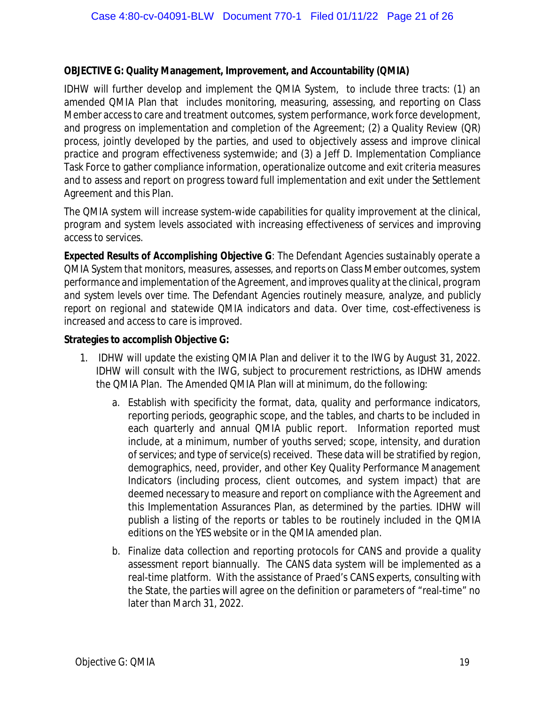## **OBJECTIVE G: Quality Management, Improvement, and Accountability (QMIA)**

IDHW will further develop and implement the QMIA System, to include three tracts: (1) an amended QMIA Plan that includes monitoring, measuring, assessing, and reporting on Class Member access to care and treatment outcomes, system performance, work force development, and progress on implementation and completion of the Agreement; (2) a Quality Review (QR) process, jointly developed by the parties, and used to objectively assess and improve clinical practice and program effectiveness systemwide; and (3) a Jeff D. Implementation Compliance Task Force to gather compliance information, operationalize outcome and exit criteria measures and to assess and report on progress toward full implementation and exit under the Settlement Agreement and this Plan.

The QMIA system will increase system-wide capabilities for quality improvement at the clinical, program and system levels associated with increasing effectiveness of services and improving access to services.

*Expected Results of Accomplishing Objective G*: *The Defendant Agencies sustainably operate a QMIA System that monitors, measures, assesses, and reports on Class Member outcomes, system performance and implementation of the Agreement, and improves quality at the clinical, program and system levels over time. The Defendant Agencies routinely measure, analyze, and publicly report on regional and statewide QMIA indicators and data. Over time, cost-effectiveness is increased and access to care is improved.*

**Strategies to accomplish Objective G:**

- 1. IDHW will update the existing QMIA Plan and deliver it to the IWG by August 31, 2022. IDHW will consult with the IWG, subject to procurement restrictions, as IDHW amends the QMIA Plan. The Amended QMIA Plan will at minimum, do the following:
	- a. Establish with specificity the format, data, quality and performance indicators, reporting periods, geographic scope, and the tables, and charts to be included in each quarterly and annual QMIA public report. Information reported must include, at a minimum, number of youths served; scope, intensity, and duration of services; and type of service(s) received. These data will be stratified by region, demographics, need, provider, and other Key Quality Performance Management Indicators (including process, client outcomes, and system impact) that are deemed necessary to measure and report on compliance with the Agreement and this Implementation Assurances Plan, as determined by the parties. IDHW will publish a listing of the reports or tables to be routinely included in the QMIA editions on the YES website or in the QMIA amended plan.
	- b. Finalize data collection and reporting protocols for CANS and provide a quality assessment report biannually. The CANS data system will be implemented as a real-time platform. With the assistance of Praed's CANS experts, consulting with the State, the parties will agree on the definition or parameters of "real-time" no later than March 31, 2022.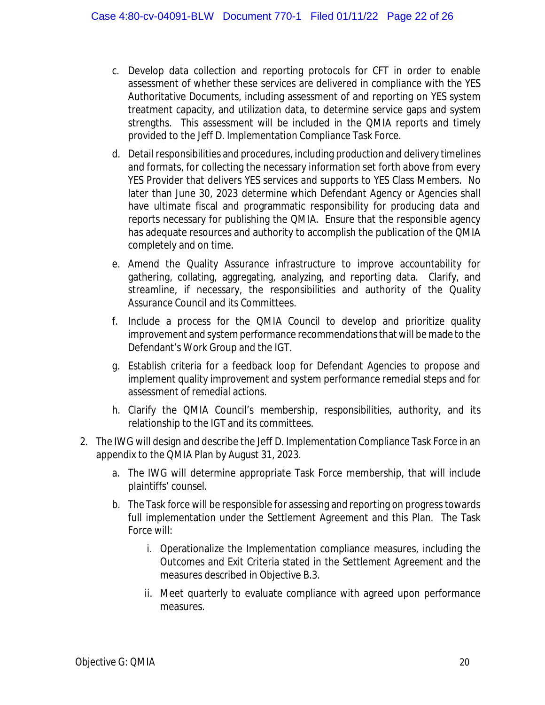- c. Develop data collection and reporting protocols for CFT in order to enable assessment of whether these services are delivered in compliance with the YES Authoritative Documents, including assessment of and reporting on YES system treatment capacity, and utilization data, to determine service gaps and system strengths. This assessment will be included in the QMIA reports and timely provided to the Jeff D. Implementation Compliance Task Force.
- d. Detail responsibilities and procedures, including production and delivery timelines and formats, for collecting the necessary information set forth above from every YES Provider that delivers YES services and supports to YES Class Members. No later than June 30, 2023 determine which Defendant Agency or Agencies shall have ultimate fiscal and programmatic responsibility for producing data and reports necessary for publishing the QMIA. Ensure that the responsible agency has adequate resources and authority to accomplish the publication of the QMIA completely and on time.
- e. Amend the Quality Assurance infrastructure to improve accountability for gathering, collating, aggregating, analyzing, and reporting data. Clarify, and streamline, if necessary, the responsibilities and authority of the Quality Assurance Council and its Committees.
- f. Include a process for the QMIA Council to develop and prioritize quality improvement and system performance recommendations that will be made to the Defendant's Work Group and the IGT.
- g. Establish criteria for a feedback loop for Defendant Agencies to propose and implement quality improvement and system performance remedial steps and for assessment of remedial actions.
- h. Clarify the QMIA Council's membership, responsibilities, authority, and its relationship to the IGT and its committees.
- 2. The IWG will design and describe the Jeff D. Implementation Compliance Task Force in an appendix to the QMIA Plan by August 31, 2023.
	- a. The IWG will determine appropriate Task Force membership, that will include plaintiffs' counsel.
	- b. The Task force will be responsible for assessing and reporting on progress towards full implementation under the Settlement Agreement and this Plan. The Task Force will:
		- i. Operationalize the Implementation compliance measures, including the Outcomes and Exit Criteria stated in the Settlement Agreement and the measures described in Objective B.3.
		- ii. Meet quarterly to evaluate compliance with agreed upon performance measures.